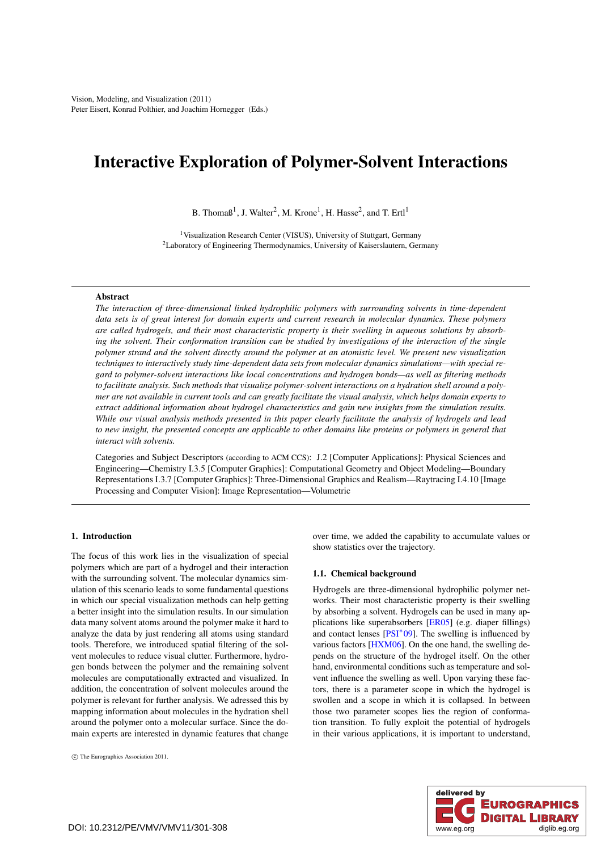# <span id="page-0-0"></span>Interactive Exploration of Polymer-Solvent Interactions

B. Thoma $\beta^1$ , J. Walter<sup>2</sup>, M. Krone<sup>1</sup>, H. Hasse<sup>2</sup>, and T. Ertl<sup>1</sup>

<sup>1</sup> Visualization Research Center (VISUS), University of Stuttgart, Germany 2Laboratory of Engineering Thermodynamics, University of Kaiserslautern, Germany

## **A** hstract

*The interaction of three-dimensional linked hydrophilic polymers with surrounding solvents in time-dependent data sets is of great interest for domain experts and current research in molecular dynamics. These polymers are called hydrogels, and their most characteristic property is their swelling in aqueous solutions by absorbing the solvent. Their conformation transition can be studied by investigations of the interaction of the single polymer strand and the solvent directly around the polymer at an atomistic level. We present new visualization techniques to interactively study time-dependent data sets from molecular dynamics simulations—with special regard to polymer-solvent interactions like local concentrations and hydrogen bonds—as well as filtering methods to facilitate analysis. Such methods that visualize polymer-solvent interactions on a hydration shell around a polymer are not available in current tools and can greatly facilitate the visual analysis, which helps domain experts to extract additional information about hydrogel characteristics and gain new insights from the simulation results. While our visual analysis methods presented in this paper clearly facilitate the analysis of hydrogels and lead to new insight, the presented concepts are applicable to other domains like proteins or polymers in general that interact with solvents.*

Categories and Subject Descriptors (according to ACM CCS): J.2 [Computer Applications]: Physical Sciences and Engineering—Chemistry I.3.5 [Computer Graphics]: Computational Geometry and Object Modeling—Boundary Representations I.3.7 [Computer Graphics]: Three-Dimensional Graphics and Realism—Raytracing I.4.10 [Image Processing and Computer Vision]: Image Representation—Volumetric

# 1. Introduction

The focus of this work lies in the visualization of special polymers which are part of a hydrogel and their interaction with the surrounding solvent. The molecular dynamics simulation of this scenario leads to some fundamental questions in which our special visualization methods can help getting a better insight into the simulation results. In our simulation data many solvent atoms around the polymer make it hard to analyze the data by just rendering all atoms using standard tools. Therefore, we introduced spatial filtering of the solvent molecules to reduce visual clutter. Furthermore, hydrogen bonds between the polymer and the remaining solvent molecules are computationally extracted and visualized. In addition, the concentration of solvent molecules around the polymer is relevant for further analysis. We adressed this by mapping information about molecules in the hydration shell around the polymer onto a molecular surface. Since the domain experts are interested in dynamic features that change

c The Eurographics Association 2011.

over time, we added the capability to accumulate values or show statistics over the trajectory.

#### 1.1. Chemical background

Hydrogels are three-dimensional hydrophilic polymer networks. Their most characteristic property is their swelling by absorbing a solvent. Hydrogels can be used in many applications like superabsorbers [\[ER05\]](#page-6-0) (e.g. diaper fillings) and contact lenses  $[PSI^*09]$  $[PSI^*09]$ . The swelling is influenced by various factors [\[HXM06\]](#page-7-1). On the one hand, the swelling depends on the structure of the hydrogel itself. On the other hand, environmental conditions such as temperature and solvent influence the swelling as well. Upon varying these factors, there is a parameter scope in which the hydrogel is swollen and a scope in which it is collapsed. In between those two parameter scopes lies the region of conformation transition. To fully exploit the potential of hydrogels in their various applications, it is important to understand,

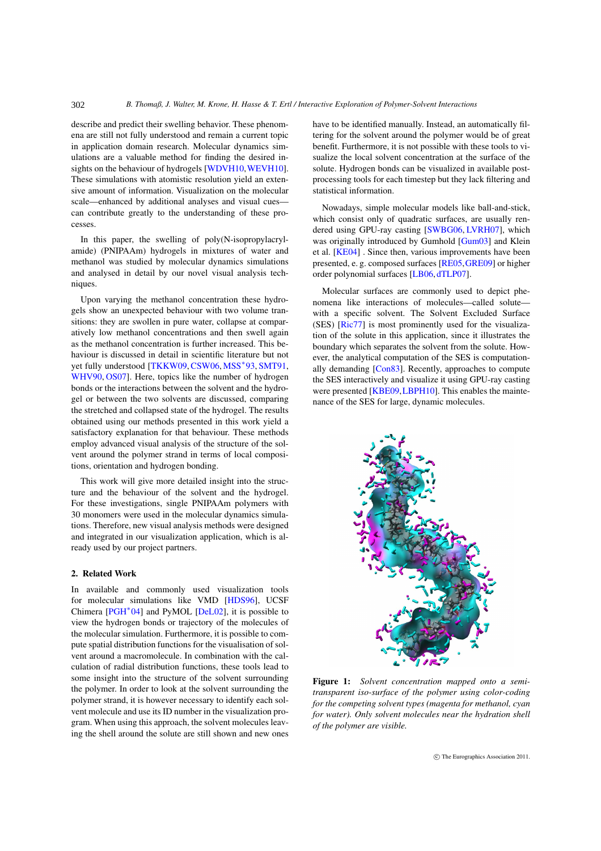describe and predict their swelling behavior. These phenomena are still not fully understood and remain a current topic in application domain research. Molecular dynamics simulations are a valuable method for finding the desired in-sights on the behaviour of hydrogels [\[WDVH10,](#page-7-2) [WEVH10\]](#page-7-3). These simulations with atomistic resolution yield an extensive amount of information. Visualization on the molecular scale—enhanced by additional analyses and visual cues can contribute greatly to the understanding of these processes.

<span id="page-1-2"></span>302

In this paper, the swelling of poly(N-isopropylacrylamide) (PNIPAAm) hydrogels in mixtures of water and methanol was studied by molecular dynamics simulations and analysed in detail by our novel visual analysis techniques.

Upon varying the methanol concentration these hydrogels show an unexpected behaviour with two volume transitions: they are swollen in pure water, collapse at comparatively low methanol concentrations and then swell again as the methanol concentration is further increased. This behaviour is discussed in detail in scientific literature but not yet fully understood [\[TKKW09,](#page-7-4) [CSW06,](#page-6-1) [MSS](#page-7-5)<sup>∗93</sup>, [SMT91,](#page-7-6) [WHV90,](#page-7-7) [OS07\]](#page-7-8). Here, topics like the number of hydrogen bonds or the interactions between the solvent and the hydrogel or between the two solvents are discussed, comparing the stretched and collapsed state of the hydrogel. The results obtained using our methods presented in this work yield a satisfactory explanation for that behaviour. These methods employ advanced visual analysis of the structure of the solvent around the polymer strand in terms of local compositions, orientation and hydrogen bonding.

This work will give more detailed insight into the structure and the behaviour of the solvent and the hydrogel. For these investigations, single PNIPAAm polymers with 30 monomers were used in the molecular dynamics simulations. Therefore, new visual analysis methods were designed and integrated in our visualization application, which is already used by our project partners.

# <span id="page-1-1"></span>2. Related Work

In available and commonly used visualization tools for molecular simulations like VMD [\[HDS96\]](#page-7-9), UCSF Chimera [\[PGH](#page-7-10)∗04] and PyMOL [\[DeL02\]](#page-6-2), it is possible to view the hydrogen bonds or trajectory of the molecules of the molecular simulation. Furthermore, it is possible to compute spatial distribution functions for the visualisation of solvent around a macromolecule. In combination with the calculation of radial distribution functions, these tools lead to some insight into the structure of the solvent surrounding the polymer. In order to look at the solvent surrounding the polymer strand, it is however necessary to identify each solvent molecule and use its ID number in the visualization program. When using this approach, the solvent molecules leaving the shell around the solute are still shown and new ones

have to be identified manually. Instead, an automatically filtering for the solvent around the polymer would be of great benefit. Furthermore, it is not possible with these tools to visualize the local solvent concentration at the surface of the solute. Hydrogen bonds can be visualized in available postprocessing tools for each timestep but they lack filtering and statistical information.

Nowadays, simple molecular models like ball-and-stick, which consist only of quadratic surfaces, are usually rendered using GPU-ray casting [\[SWBG06,](#page-7-11) [LVRH07\]](#page-7-12), which was originally introduced by Gumhold [\[Gum03\]](#page-7-13) and Klein et al. [\[KE04\]](#page-7-14) . Since then, various improvements have been presented, e. g. composed surfaces [\[RE05,](#page-7-15)[GRE09\]](#page-7-16) or higher order polynomial surfaces [\[LB06,](#page-7-17) [dTLP07\]](#page-6-3).

Molecular surfaces are commonly used to depict phenomena like interactions of molecules—called solute with a specific solvent. The Solvent Excluded Surface (SES) [\[Ric77\]](#page-7-18) is most prominently used for the visualization of the solute in this application, since it illustrates the boundary which separates the solvent from the solute. However, the analytical computation of the SES is computationally demanding [\[Con83\]](#page-6-4). Recently, approaches to compute the SES interactively and visualize it using GPU-ray casting were presented [\[KBE09](#page-7-19)[,LBPH10\]](#page-7-20). This enables the maintenance of the SES for large, dynamic molecules.



<span id="page-1-0"></span>Figure 1: *Solvent concentration mapped onto a semitransparent iso-surface of the polymer using color-coding for the competing solvent types (magenta for methanol, cyan for water). Only solvent molecules near the hydration shell of the polymer are visible.*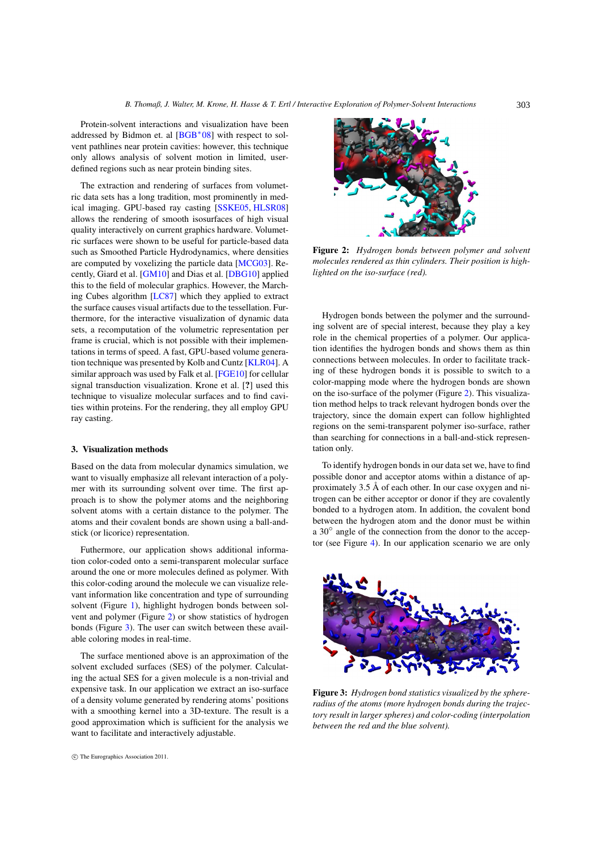<span id="page-2-3"></span>Protein-solvent interactions and visualization have been addressed by Bidmon et. al  $[BGB^*08]$  $[BGB^*08]$  with respect to solvent pathlines near protein cavities: however, this technique only allows analysis of solvent motion in limited, userdefined regions such as near protein binding sites.

The extraction and rendering of surfaces from volumetric data sets has a long tradition, most prominently in medical imaging. GPU-based ray casting [\[SSKE05,](#page-7-21) [HLSR08\]](#page-7-22) allows the rendering of smooth isosurfaces of high visual quality interactively on current graphics hardware. Volumetric surfaces were shown to be useful for particle-based data such as Smoothed Particle Hydrodynamics, where densities are computed by voxelizing the particle data [\[MCG03\]](#page-7-23). Recently, Giard et al. [\[GM10\]](#page-6-6) and Dias et al. [\[DBG10\]](#page-6-7) applied this to the field of molecular graphics. However, the Marching Cubes algorithm [\[LC87\]](#page-7-24) which they applied to extract the surface causes visual artifacts due to the tessellation. Furthermore, for the interactive visualization of dynamic data sets, a recomputation of the volumetric representation per frame is crucial, which is not possible with their implementations in terms of speed. A fast, GPU-based volume generation technique was presented by Kolb and Cuntz [\[KLR04\]](#page-7-25). A similar approach was used by Falk et al. [\[FGE10\]](#page-6-8) for cellular signal transduction visualization. Krone et al. [?] used this technique to visualize molecular surfaces and to find cavities within proteins. For the rendering, they all employ GPU ray casting.

# <span id="page-2-2"></span>3. Visualization methods

Based on the data from molecular dynamics simulation, we want to visually emphasize all relevant interaction of a polymer with its surrounding solvent over time. The first approach is to show the polymer atoms and the neighboring solvent atoms with a certain distance to the polymer. The atoms and their covalent bonds are shown using a ball-andstick (or licorice) representation.

Futhermore, our application shows additional information color-coded onto a semi-transparent molecular surface around the one or more molecules defined as polymer. With this color-coding around the molecule we can visualize relevant information like concentration and type of surrounding solvent (Figure [1\)](#page-1-0), highlight hydrogen bonds between solvent and polymer (Figure [2\)](#page-2-0) or show statistics of hydrogen bonds (Figure [3\)](#page-2-1). The user can switch between these available coloring modes in real-time.

The surface mentioned above is an approximation of the solvent excluded surfaces (SES) of the polymer. Calculating the actual SES for a given molecule is a non-trivial and expensive task. In our application we extract an iso-surface of a density volume generated by rendering atoms' positions with a smoothing kernel into a 3D-texture. The result is a good approximation which is sufficient for the analysis we want to facilitate and interactively adjustable.



<span id="page-2-0"></span>

Figure 2: *Hydrogen bonds between polymer and solvent molecules rendered as thin cylinders. Their position is highlighted on the iso-surface (red).*

Hydrogen bonds between the polymer and the surrounding solvent are of special interest, because they play a key role in the chemical properties of a polymer. Our application identifies the hydrogen bonds and shows them as thin connections between molecules. In order to facilitate tracking of these hydrogen bonds it is possible to switch to a color-mapping mode where the hydrogen bonds are shown on the iso-surface of the polymer (Figure [2\)](#page-2-0). This visualization method helps to track relevant hydrogen bonds over the trajectory, since the domain expert can follow highlighted regions on the semi-transparent polymer iso-surface, rather than searching for connections in a ball-and-stick representation only.

To identify hydrogen bonds in our data set we, have to find possible donor and acceptor atoms within a distance of approximately 3.5 Å of each other. In our case oxygen and nitrogen can be either acceptor or donor if they are covalently bonded to a hydrogen atom. In addition, the covalent bond between the hydrogen atom and the donor must be within a 30◦ angle of the connection from the donor to the acceptor (see Figure [4\)](#page-3-0). In our application scenario we are only

<span id="page-2-1"></span>

Figure 3: *Hydrogen bond statistics visualized by the sphereradius of the atoms (more hydrogen bonds during the trajectory result in larger spheres) and color-coding (interpolation between the red and the blue solvent).*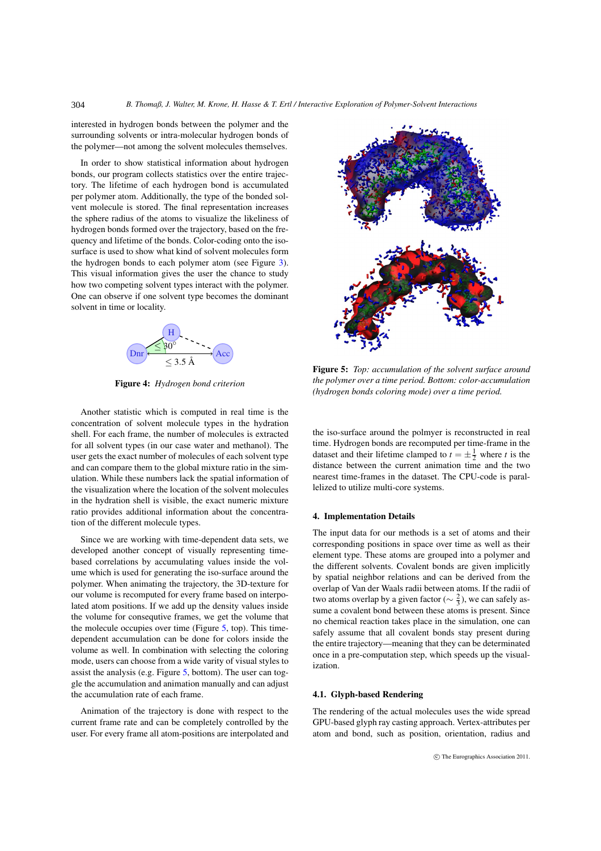interested in hydrogen bonds between the polymer and the surrounding solvents or intra-molecular hydrogen bonds of the polymer—not among the solvent molecules themselves.

304

In order to show statistical information about hydrogen bonds, our program collects statistics over the entire trajectory. The lifetime of each hydrogen bond is accumulated per polymer atom. Additionally, the type of the bonded solvent molecule is stored. The final representation increases the sphere radius of the atoms to visualize the likeliness of hydrogen bonds formed over the trajectory, based on the frequency and lifetime of the bonds. Color-coding onto the isosurface is used to show what kind of solvent molecules form the hydrogen bonds to each polymer atom (see Figure [3\)](#page-2-1). This visual information gives the user the chance to study how two competing solvent types interact with the polymer. One can observe if one solvent type becomes the dominant solvent in time or locality.

<span id="page-3-0"></span>

Figure 4: *Hydrogen bond criterion*

Another statistic which is computed in real time is the concentration of solvent molecule types in the hydration shell. For each frame, the number of molecules is extracted for all solvent types (in our case water and methanol). The user gets the exact number of molecules of each solvent type and can compare them to the global mixture ratio in the simulation. While these numbers lack the spatial information of the visualization where the location of the solvent molecules in the hydration shell is visible, the exact numeric mixture ratio provides additional information about the concentration of the different molecule types.

Since we are working with time-dependent data sets, we developed another concept of visually representing timebased correlations by accumulating values inside the volume which is used for generating the iso-surface around the polymer. When animating the trajectory, the 3D-texture for our volume is recomputed for every frame based on interpolated atom positions. If we add up the density values inside the volume for consequtive frames, we get the volume that the molecule occupies over time (Figure [5,](#page-3-1) top). This timedependent accumulation can be done for colors inside the volume as well. In combination with selecting the coloring mode, users can choose from a wide varity of visual styles to assist the analysis (e.g. Figure  $5$ , bottom). The user can toggle the accumulation and animation manually and can adjust the accumulation rate of each frame.

Animation of the trajectory is done with respect to the current frame rate and can be completely controlled by the user. For every frame all atom-positions are interpolated and



<span id="page-3-1"></span>Figure 5: *Top: accumulation of the solvent surface around the polymer over a time period. Bottom: color-accumulation (hydrogen bonds coloring mode) over a time period.*

the iso-surface around the polmyer is reconstructed in real time. Hydrogen bonds are recomputed per time-frame in the dataset and their lifetime clamped to  $t = \pm \frac{1}{2}$  where *t* is the distance between the current animation time and the two nearest time-frames in the dataset. The CPU-code is parallelized to utilize multi-core systems.

## 4. Implementation Details

The input data for our methods is a set of atoms and their corresponding positions in space over time as well as their element type. These atoms are grouped into a polymer and the different solvents. Covalent bonds are given implicitly by spatial neighbor relations and can be derived from the overlap of Van der Waals radii between atoms. If the radii of two atoms overlap by a given factor ( $\sim \frac{2}{3}$ ), we can safely assume a covalent bond between these atoms is present. Since no chemical reaction takes place in the simulation, one can safely assume that all covalent bonds stay present during the entire trajectory—meaning that they can be determinated once in a pre-computation step, which speeds up the visualization.

## 4.1. Glyph-based Rendering

The rendering of the actual molecules uses the wide spread GPU-based glyph ray casting approach. Vertex-attributes per atom and bond, such as position, orientation, radius and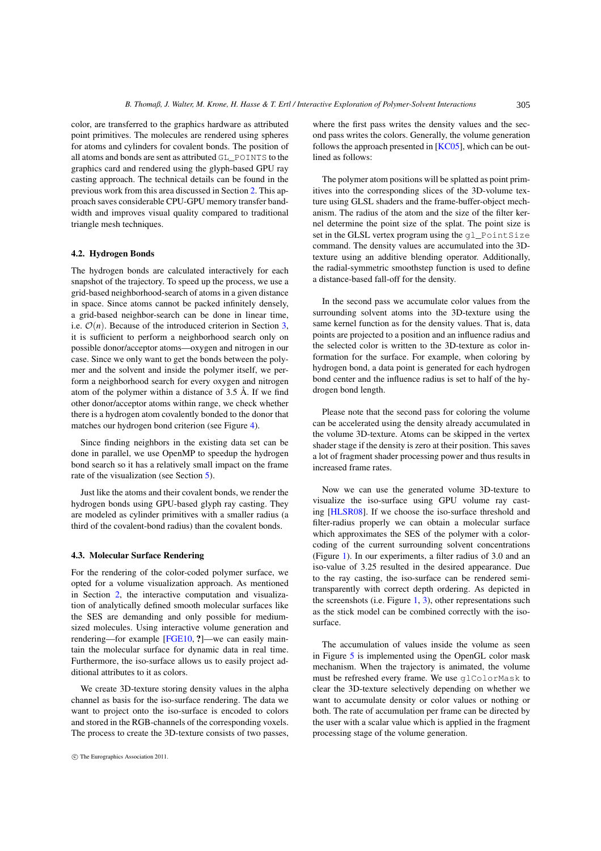<span id="page-4-1"></span>color, are transferred to the graphics hardware as attributed point primitives. The molecules are rendered using spheres for atoms and cylinders for covalent bonds. The position of all atoms and bonds are sent as attributed GL\_POINTS to the graphics card and rendered using the glyph-based GPU ray casting approach. The technical details can be found in the previous work from this area discussed in Section [2.](#page-1-1) This approach saves considerable CPU-GPU memory transfer bandwidth and improves visual quality compared to traditional triangle mesh techniques.

# 4.2. Hydrogen Bonds

The hydrogen bonds are calculated interactively for each snapshot of the trajectory. To speed up the process, we use a grid-based neighborhood-search of atoms in a given distance in space. Since atoms cannot be packed infinitely densely, a grid-based neighbor-search can be done in linear time, i.e.  $\mathcal{O}(n)$ . Because of the introduced criterion in Section [3,](#page-2-2) it is sufficient to perform a neighborhood search only on possible donor/acceptor atoms—oxygen and nitrogen in our case. Since we only want to get the bonds between the polymer and the solvent and inside the polymer itself, we perform a neighborhood search for every oxygen and nitrogen atom of the polymer within a distance of 3.5 Å. If we find other donor/acceptor atoms within range, we check whether there is a hydrogen atom covalently bonded to the donor that matches our hydrogen bond criterion (see Figure [4\)](#page-3-0).

Since finding neighbors in the existing data set can be done in parallel, we use OpenMP to speedup the hydrogen bond search so it has a relatively small impact on the frame rate of the visualization (see Section [5\)](#page-5-0).

<span id="page-4-0"></span>Just like the atoms and their covalent bonds, we render the hydrogen bonds using GPU-based glyph ray casting. They are modeled as cylinder primitives with a smaller radius (a third of the covalent-bond radius) than the covalent bonds.

#### 4.3. Molecular Surface Rendering

For the rendering of the color-coded polymer surface, we opted for a volume visualization approach. As mentioned in Section [2,](#page-1-1) the interactive computation and visualization of analytically defined smooth molecular surfaces like the SES are demanding and only possible for mediumsized molecules. Using interactive volume generation and rendering—for example [\[FGE10,](#page-6-8) ?]—we can easily maintain the molecular surface for dynamic data in real time. Furthermore, the iso-surface allows us to easily project additional attributes to it as colors.

We create 3D-texture storing density values in the alpha channel as basis for the iso-surface rendering. The data we want to project onto the iso-surface is encoded to colors and stored in the RGB-channels of the corresponding voxels. The process to create the 3D-texture consists of two passes, where the first pass writes the density values and the second pass writes the colors. Generally, the volume generation follows the approach presented in  $[KC05]$ , which can be outlined as follows:

The polymer atom positions will be splatted as point primitives into the corresponding slices of the 3D-volume texture using GLSL shaders and the frame-buffer-object mechanism. The radius of the atom and the size of the filter kernel determine the point size of the splat. The point size is set in the GLSL vertex program using the ql\_PointSize command. The density values are accumulated into the 3Dtexture using an additive blending operator. Additionally, the radial-symmetric smoothstep function is used to define a distance-based fall-off for the density.

In the second pass we accumulate color values from the surrounding solvent atoms into the 3D-texture using the same kernel function as for the density values. That is, data points are projected to a position and an influence radius and the selected color is written to the 3D-texture as color information for the surface. For example, when coloring by hydrogen bond, a data point is generated for each hydrogen bond center and the influence radius is set to half of the hydrogen bond length.

Please note that the second pass for coloring the volume can be accelerated using the density already accumulated in the volume 3D-texture. Atoms can be skipped in the vertex shader stage if the density is zero at their position. This saves a lot of fragment shader processing power and thus results in increased frame rates.

Now we can use the generated volume 3D-texture to visualize the iso-surface using GPU volume ray casting [\[HLSR08\]](#page-7-22). If we choose the iso-surface threshold and filter-radius properly we can obtain a molecular surface which approximates the SES of the polymer with a colorcoding of the current surrounding solvent concentrations (Figure [1\)](#page-1-0). In our experiments, a filter radius of 3.0 and an iso-value of 3.25 resulted in the desired appearance. Due to the ray casting, the iso-surface can be rendered semitransparently with correct depth ordering. As depicted in the screenshots (i.e. Figure  $1, 3$  $1, 3$ ), other representations such as the stick model can be combined correctly with the isosurface.

The accumulation of values inside the volume as seen in Figure [5](#page-3-1) is implemented using the OpenGL color mask mechanism. When the trajectory is animated, the volume must be refreshed every frame. We use glColorMask to clear the 3D-texture selectively depending on whether we want to accumulate density or color values or nothing or both. The rate of accumulation per frame can be directed by the user with a scalar value which is applied in the fragment processing stage of the volume generation.

c The Eurographics Association 2011.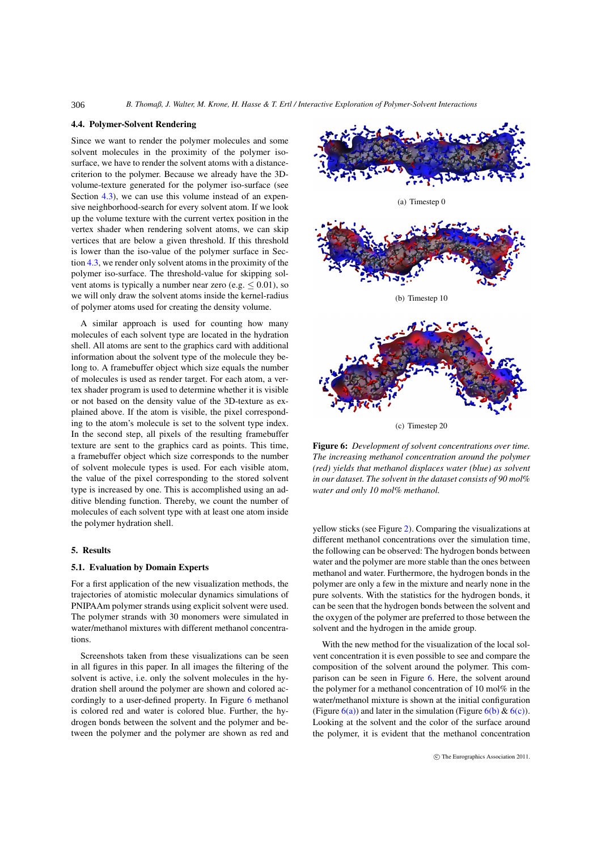## 4.4. Polymer-Solvent Rendering

306

Since we want to render the polymer molecules and some solvent molecules in the proximity of the polymer isosurface, we have to render the solvent atoms with a distancecriterion to the polymer. Because we already have the 3Dvolume-texture generated for the polymer iso-surface (see Section [4.3\)](#page-4-0), we can use this volume instead of an expensive neighborhood-search for every solvent atom. If we look up the volume texture with the current vertex position in the vertex shader when rendering solvent atoms, we can skip vertices that are below a given threshold. If this threshold is lower than the iso-value of the polymer surface in Section [4.3,](#page-4-0) we render only solvent atoms in the proximity of the polymer iso-surface. The threshold-value for skipping solvent atoms is typically a number near zero (e.g.  $\leq 0.01$ ), so we will only draw the solvent atoms inside the kernel-radius of polymer atoms used for creating the density volume.

A similar approach is used for counting how many molecules of each solvent type are located in the hydration shell. All atoms are sent to the graphics card with additional information about the solvent type of the molecule they belong to. A framebuffer object which size equals the number of molecules is used as render target. For each atom, a vertex shader program is used to determine whether it is visible or not based on the density value of the 3D-texture as explained above. If the atom is visible, the pixel corresponding to the atom's molecule is set to the solvent type index. In the second step, all pixels of the resulting framebuffer texture are sent to the graphics card as points. This time, a framebuffer object which size corresponds to the number of solvent molecule types is used. For each visible atom, the value of the pixel corresponding to the stored solvent type is increased by one. This is accomplished using an additive blending function. Thereby, we count the number of molecules of each solvent type with at least one atom inside the polymer hydration shell.

# <span id="page-5-5"></span><span id="page-5-0"></span>5. Results

# 5.1. Evaluation by Domain Experts

For a first application of the new visualization methods, the trajectories of atomistic molecular dynamics simulations of PNIPAAm polymer strands using explicit solvent were used. The polymer strands with 30 monomers were simulated in water/methanol mixtures with different methanol concentrations.

Screenshots taken from these visualizations can be seen in all figures in this paper. In all images the filtering of the solvent is active, i.e. only the solvent molecules in the hydration shell around the polymer are shown and colored accordingly to a user-defined property. In Figure [6](#page-5-1) methanol is colored red and water is colored blue. Further, the hydrogen bonds between the solvent and the polymer and between the polymer and the polymer are shown as red and

<span id="page-5-3"></span><span id="page-5-2"></span>

<span id="page-5-1"></span>(c) Timestep 20

<span id="page-5-4"></span>Figure 6: *Development of solvent concentrations over time. The increasing methanol concentration around the polymer (red) yields that methanol displaces water (blue) as solvent in our dataset. The solvent in the dataset consists of 90 mol% water and only 10 mol% methanol.*

yellow sticks (see Figure [2\)](#page-2-0). Comparing the visualizations at different methanol concentrations over the simulation time, the following can be observed: The hydrogen bonds between water and the polymer are more stable than the ones between methanol and water. Furthermore, the hydrogen bonds in the polymer are only a few in the mixture and nearly none in the pure solvents. With the statistics for the hydrogen bonds, it can be seen that the hydrogen bonds between the solvent and the oxygen of the polymer are preferred to those between the solvent and the hydrogen in the amide group.

With the new method for the visualization of the local solvent concentration it is even possible to see and compare the composition of the solvent around the polymer. This comparison can be seen in Figure [6.](#page-5-1) Here, the solvent around the polymer for a methanol concentration of 10 mol% in the water/methanol mixture is shown at the initial configuration (Figure  $6(a)$ ) and later in the simulation (Figure  $6(b)$  &  $6(c)$ ). Looking at the solvent and the color of the surface around the polymer, it is evident that the methanol concentration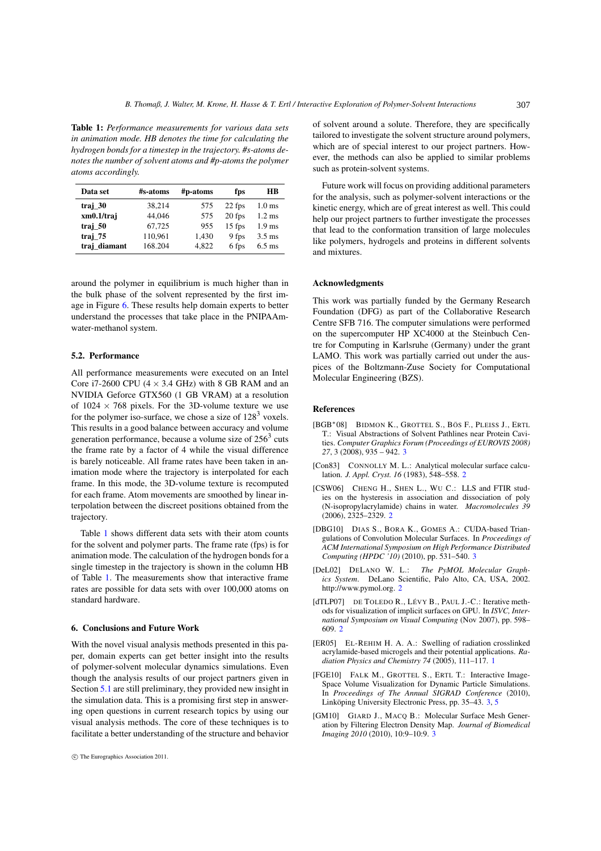<span id="page-6-9"></span>Table 1: *Performance measurements for various data sets in animation mode. HB denotes the time for calculating the hydrogen bonds for a timestep in the trajectory. #s-atoms denotes the number of solvent atoms and #p-atoms the polymer atoms accordingly.*

| Data set     | #s-atoms | #p-atoms | fps      | HВ                |
|--------------|----------|----------|----------|-------------------|
| traj 30      | 38.214   | 575      | 22 fps   | 1.0 <sub>ms</sub> |
| xm0.1/traj   | 44.046   | 575      | 20 fps   | $1.2 \text{ ms}$  |
| traj 50      | 67.725   | 955      | $15$ fps | $1.9$ ms          |
| traj 75      | 110,961  | 1,430    | 9 fps    | $3.5 \text{ ms}$  |
| traj diamant | 168.204  | 4.822    | 6 fps    | $6.5 \text{ ms}$  |

around the polymer in equilibrium is much higher than in the bulk phase of the solvent represented by the first image in Figure [6.](#page-5-1) These results help domain experts to better understand the processes that take place in the PNIPAAmwater-methanol system.

#### 5.2. Performance

All performance measurements were executed on an Intel Core i7-2600 CPU  $(4 \times 3.4$  GHz) with 8 GB RAM and an NVIDIA Geforce GTX560 (1 GB VRAM) at a resolution of  $1024 \times 768$  pixels. For the 3D-volume texture we use for the polymer iso-surface, we chose a size of  $128<sup>3</sup>$  voxels. This results in a good balance between accuracy and volume generation performance, because a volume size of  $256<sup>3</sup>$  cuts the frame rate by a factor of 4 while the visual difference is barely noticeable. All frame rates have been taken in animation mode where the trajectory is interpolated for each frame. In this mode, the 3D-volume texture is recomputed for each frame. Atom movements are smoothed by linear interpolation between the discreet positions obtained from the trajectory.

Table [1](#page-6-9) shows different data sets with their atom counts for the solvent and polymer parts. The frame rate (fps) is for animation mode. The calculation of the hydrogen bonds for a single timestep in the trajectory is shown in the column HB of Table [1.](#page-6-9) The measurements show that interactive frame rates are possible for data sets with over 100,000 atoms on standard hardware.

#### 6. Conclusions and Future Work

With the novel visual analysis methods presented in this paper, domain experts can get better insight into the results of polymer-solvent molecular dynamics simulations. Even though the analysis results of our project partners given in Section [5.1](#page-5-5) are still preliminary, they provided new insight in the simulation data. This is a promising first step in answering open questions in current research topics by using our visual analysis methods. The core of these techniques is to facilitate a better understanding of the structure and behavior of solvent around a solute. Therefore, they are specifically tailored to investigate the solvent structure around polymers, which are of special interest to our project partners. However, the methods can also be applied to similar problems such as protein-solvent systems.

Future work will focus on providing additional parameters for the analysis, such as polymer-solvent interactions or the kinetic energy, which are of great interest as well. This could help our project partners to further investigate the processes that lead to the conformation transition of large molecules like polymers, hydrogels and proteins in different solvents and mixtures.

#### Acknowledgments

This work was partially funded by the Germany Research Foundation (DFG) as part of the Collaborative Research Centre SFB 716. The computer simulations were performed on the supercomputer HP XC4000 at the Steinbuch Centre for Computing in Karlsruhe (Germany) under the grant LAMO. This work was partially carried out under the auspices of the Boltzmann-Zuse Society for Computational Molecular Engineering (BZS).

# <span id="page-6-5"></span>References

- <span id="page-6-4"></span>[BGB∗08] BIDMON K., GROTTEL S., BÖS F., PLEISS J., ERTL T.: Visual Abstractions of Solvent Pathlines near Protein Cavities. *Computer Graphics Forum (Proceedings of EUROVIS 2008) 27*, 3 (2008), 935 – 942. [3](#page-2-3)
- <span id="page-6-1"></span>[Con83] CONNOLLY M. L.: Analytical molecular surface calculation. *J. Appl. Cryst. 16* (1983), 548–558. [2](#page-1-2)
- <span id="page-6-7"></span>[CSW06] CHENG H., SHEN L., WU C.: LLS and FTIR studies on the hysteresis in association and dissociation of poly (N-isopropylacrylamide) chains in water. *Macromolecules 39* (2006), 2325–2329. [2](#page-1-2)
- <span id="page-6-2"></span>[DBG10] DIAS S., BORA K., GOMES A.: CUDA-based Triangulations of Convolution Molecular Surfaces. In *Proceedings of ACM International Symposium on High Performance Distributed Computing (HPDC '10)* (2010), pp. 531–540. [3](#page-2-3)
- <span id="page-6-3"></span>[DeL02] DELANO W. L.: *The PyMOL Molecular Graphics System*. DeLano Scientific, Palo Alto, CA, USA, 2002. http://www.pymol.org. [2](#page-1-2)
- <span id="page-6-0"></span>[dTLP07] DE TOLEDO R., LÉVY B., PAUL J.-C.: Iterative methods for visualization of implicit surfaces on GPU. In *ISVC, International Symposium on Visual Computing* (Nov 2007), pp. 598– 609. [2](#page-1-2)
- <span id="page-6-8"></span>[ER05] EL-REHIM H. A. A.: Swelling of radiation crosslinked acrylamide-based microgels and their potential applications. *Radiation Physics and Chemistry 74* (2005), 111–117. [1](#page-0-0)
- <span id="page-6-6"></span>[FGE10] FALK M., GROTTEL S., ERTL T.: Interactive Image-Space Volume Visualization for Dynamic Particle Simulations. In *Proceedings of The Annual SIGRAD Conference* (2010), Linköping University Electronic Press, pp. 35–43. [3,](#page-2-3) [5](#page-4-1)
- [GM10] GIARD J., MACQ B.: Molecular Surface Mesh Generation by Filtering Electron Density Map. *Journal of Biomedical Imaging 2010* (2010), 10:9–10:9. [3](#page-2-3)

c The Eurographics Association 2011.